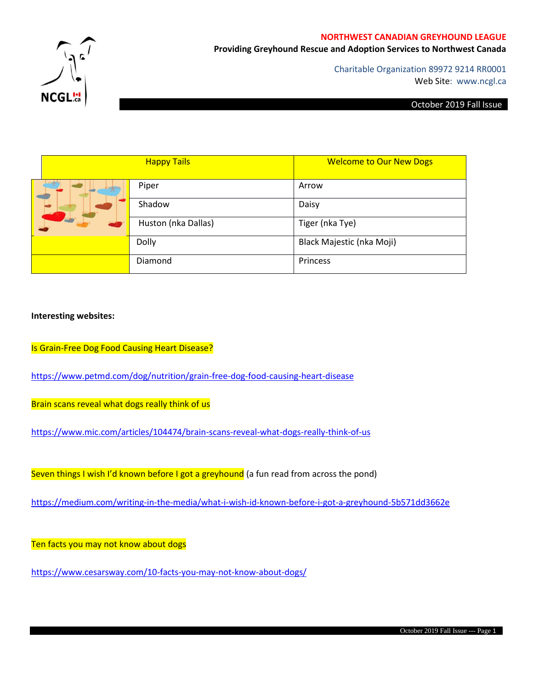#### **NORTHWEST CANADIAN GREYHOUND LEAGUE**

**Providing Greyhound Rescue and Adoption Services to Northwest Canada**



Charitable Organization 89972 9214 RR0001 Web Site: www.ncgl.ca

#### October 2019 Fall Issue

|  |  | <b>Happy Tails</b>  | <b>Welcome to Our New Dogs</b> |
|--|--|---------------------|--------------------------------|
|  |  | Piper               | Arrow                          |
|  |  | Shadow              | Daisy                          |
|  |  | Huston (nka Dallas) | Tiger (nka Tye)                |
|  |  | Dolly               | Black Majestic (nka Moji)      |
|  |  | Diamond             | Princess                       |

# **Interesting websites:**

Is Grain-Free Dog Food Causing Heart Disease?

<https://www.petmd.com/dog/nutrition/grain-free-dog-food-causing-heart-disease>

Brain scans reveal what dogs really think of us

<https://www.mic.com/articles/104474/brain-scans-reveal-what-dogs-really-think-of-us>

Seven things I wish I'd known before I got a greyhound (a fun read from across the pond)

<https://medium.com/writing-in-the-media/what-i-wish-id-known-before-i-got-a-greyhound-5b571dd3662e>

Ten facts you may not know about dogs

<https://www.cesarsway.com/10-facts-you-may-not-know-about-dogs/>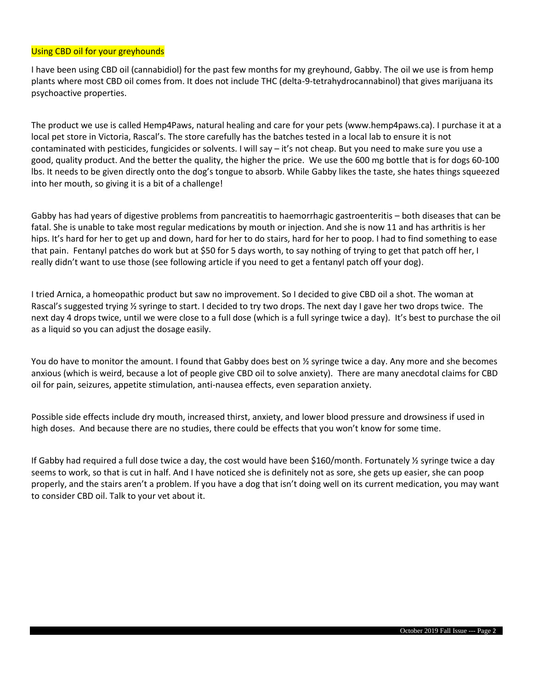# Using CBD oil for your greyhounds

I have been using CBD oil (cannabidiol) for the past few months for my greyhound, Gabby. The oil we use is from hemp plants where most CBD oil comes from. It does not include THC (delta-9-tetrahydrocannabinol) that gives marijuana its psychoactive properties.

The product we use is called Hemp4Paws, natural healing and care for your pets (www.hemp4paws.ca). I purchase it at a local pet store in Victoria, Rascal's. The store carefully has the batches tested in a local lab to ensure it is not contaminated with pesticides, fungicides or solvents. I will say – it's not cheap. But you need to make sure you use a good, quality product. And the better the quality, the higher the price. We use the 600 mg bottle that is for dogs 60-100 lbs. It needs to be given directly onto the dog's tongue to absorb. While Gabby likes the taste, she hates things squeezed into her mouth, so giving it is a bit of a challenge!

Gabby has had years of digestive problems from pancreatitis to haemorrhagic gastroenteritis – both diseases that can be fatal. She is unable to take most regular medications by mouth or injection. And she is now 11 and has arthritis is her hips. It's hard for her to get up and down, hard for her to do stairs, hard for her to poop. I had to find something to ease that pain. Fentanyl patches do work but at \$50 for 5 days worth, to say nothing of trying to get that patch off her, I really didn't want to use those (see following article if you need to get a fentanyl patch off your dog).

I tried Arnica, a homeopathic product but saw no improvement. So I decided to give CBD oil a shot. The woman at Rascal's suggested trying 1/2 syringe to start. I decided to try two drops. The next day I gave her two drops twice. The next day 4 drops twice, until we were close to a full dose (which is a full syringe twice a day). It's best to purchase the oil as a liquid so you can adjust the dosage easily.

You do have to monitor the amount. I found that Gabby does best on 1/2 syringe twice a day. Any more and she becomes anxious (which is weird, because a lot of people give CBD oil to solve anxiety). There are many anecdotal claims for CBD oil for pain, seizures, appetite stimulation, anti-nausea effects, even separation anxiety.

Possible side effects include dry mouth, increased thirst, anxiety, and lower blood pressure and drowsiness if used in high doses. And because there are no studies, there could be effects that you won't know for some time.

If Gabby had required a full dose twice a day, the cost would have been \$160/month. Fortunately  $\frac{1}{2}$  syringe twice a day seems to work, so that is cut in half. And I have noticed she is definitely not as sore, she gets up easier, she can poop properly, and the stairs aren't a problem. If you have a dog that isn't doing well on its current medication, you may want to consider CBD oil. Talk to your vet about it.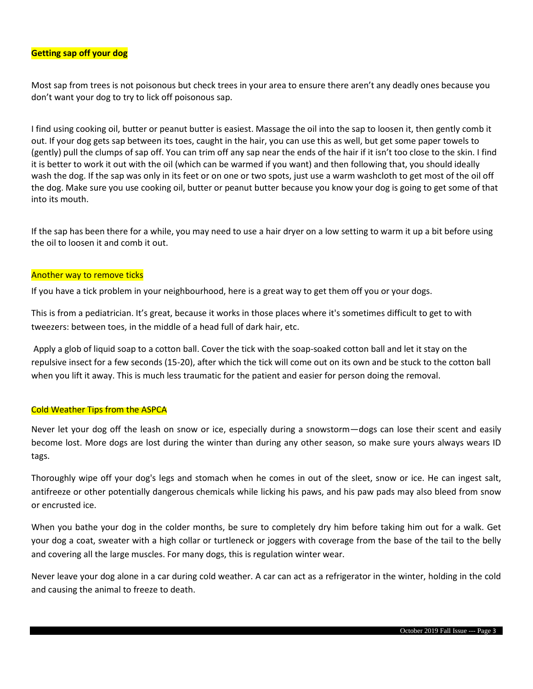### **Getting sap off your dog**

Most sap from trees is not poisonous but check trees in your area to ensure there aren't any deadly ones because you don't want your dog to try to lick off poisonous sap.

I find using cooking oil, butter or peanut butter is easiest. Massage the oil into the sap to loosen it, then gently comb it out. If your dog gets sap between its toes, caught in the hair, you can use this as well, but get some paper towels to (gently) pull the clumps of sap off. You can trim off any sap near the ends of the hair if it isn't too close to the skin. I find it is better to work it out with the oil (which can be warmed if you want) and then following that, you should ideally wash the dog. If the sap was only in its feet or on one or two spots, just use a warm washcloth to get most of the oil off the dog. Make sure you use cooking oil, butter or peanut butter because you know your dog is going to get some of that into its mouth.

If the sap has been there for a while, you may need to use a hair dryer on a low setting to warm it up a bit before using the oil to loosen it and comb it out.

### Another way to remove ticks

If you have a tick problem in your neighbourhood, here is a great way to get them off you or your dogs.

This is from a pediatrician. It's great, because it works in those places where it's sometimes difficult to get to with tweezers: between toes, in the middle of a head full of dark hair, etc.

Apply a glob of liquid soap to a cotton ball. Cover the tick with the soap-soaked cotton ball and let it stay on the repulsive insect for a few seconds (15-20), after which the tick will come out on its own and be stuck to the cotton ball when you lift it away. This is much less traumatic for the patient and easier for person doing the removal.

### Cold Weather Tips from the ASPCA

Never let your dog off the leash on snow or ice, especially during a snowstorm—dogs can lose their scent and easily become lost. More dogs are lost during the winter than during any other season, so make sure yours always wears ID tags.

Thoroughly wipe off your dog's legs and stomach when he comes in out of the sleet, snow or ice. He can ingest salt, antifreeze or other potentially dangerous chemicals while licking his paws, and his paw pads may also bleed from snow or encrusted ice.

When you bathe your dog in the colder months, be sure to completely dry him before taking him out for a walk. Get your dog a coat, sweater with a high collar or turtleneck or joggers with coverage from the base of the tail to the belly and covering all the large muscles. For many dogs, this is regulation winter wear.

Never leave your dog alone in a car during cold weather. A car can act as a refrigerator in the winter, holding in the cold and causing the animal to freeze to death.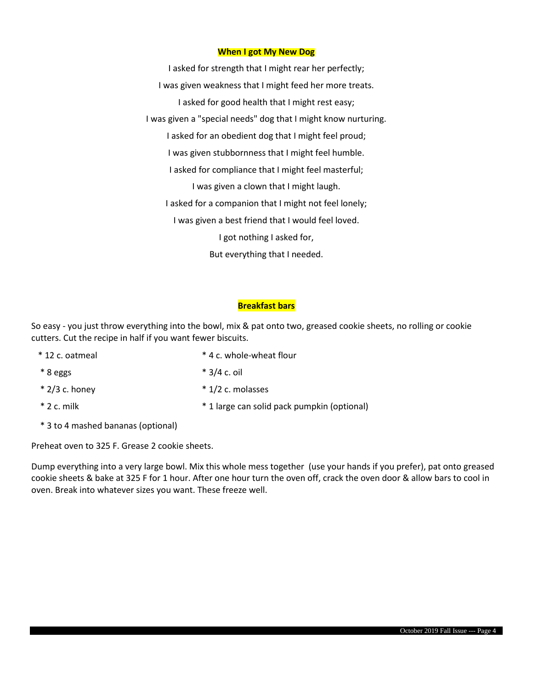### **When I got My New Dog**

I asked for strength that I might rear her perfectly; I was given weakness that I might feed her more treats. I asked for good health that I might rest easy; I was given a "special needs" dog that I might know nurturing. I asked for an obedient dog that I might feel proud; I was given stubbornness that I might feel humble. I asked for compliance that I might feel masterful; I was given a clown that I might laugh. I asked for a companion that I might not feel lonely; I was given a best friend that I would feel loved. I got nothing I asked for, But everything that I needed.

### **Breakfast bars**

So easy - you just throw everything into the bowl, mix & pat onto two, greased cookie sheets, no rolling or cookie cutters. Cut the recipe in half if you want fewer biscuits.

- \* 12 c. oatmeal \* 4 c. whole-wheat flour  $* 8$  eggs  $* 3/4$  c. oil
- $*$  2/3 c. honey  $*$  1/2 c. molasses
- 

\* 2 c. milk \* 1 large can solid pack pumpkin (optional)

\* 3 to 4 mashed bananas (optional)

Preheat oven to 325 F. Grease 2 cookie sheets.

Dump everything into a very large bowl. Mix this whole mess together (use your hands if you prefer), pat onto greased cookie sheets & bake at 325 F for 1 hour. After one hour turn the oven off, crack the oven door & allow bars to cool in oven. Break into whatever sizes you want. These freeze well.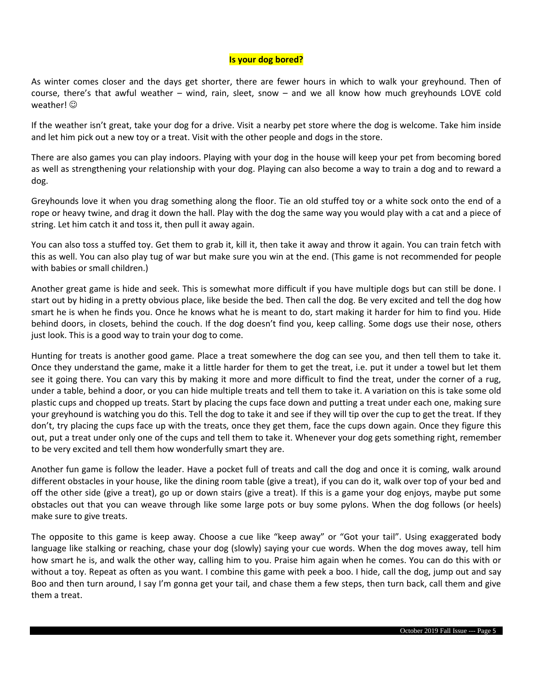# **Is your dog bored?**

As winter comes closer and the days get shorter, there are fewer hours in which to walk your greyhound. Then of course, there's that awful weather – wind, rain, sleet, snow – and we all know how much greyhounds LOVE cold weather!  $\odot$ 

If the weather isn't great, take your dog for a drive. Visit a nearby pet store where the dog is welcome. Take him inside and let him pick out a new toy or a treat. Visit with the other people and dogs in the store.

There are also games you can play indoors. Playing with your dog in the house will keep your pet from becoming bored as well as strengthening your relationship with your dog. Playing can also become a way to train a dog and to reward a dog.

Greyhounds love it when you drag something along the floor. Tie an old stuffed toy or a white sock onto the end of a rope or heavy twine, and drag it down the hall. Play with the dog the same way you would play with a cat and a piece of string. Let him catch it and toss it, then pull it away again.

You can also toss a stuffed toy. Get them to grab it, kill it, then take it away and throw it again. You can train fetch with this as well. You can also play tug of war but make sure you win at the end. (This game is not recommended for people with babies or small children.)

Another great game is hide and seek. This is somewhat more difficult if you have multiple dogs but can still be done. I start out by hiding in a pretty obvious place, like beside the bed. Then call the dog. Be very excited and tell the dog how smart he is when he finds you. Once he knows what he is meant to do, start making it harder for him to find you. Hide behind doors, in closets, behind the couch. If the dog doesn't find you, keep calling. Some dogs use their nose, others just look. This is a good way to train your dog to come.

Hunting for treats is another good game. Place a treat somewhere the dog can see you, and then tell them to take it. Once they understand the game, make it a little harder for them to get the treat, i.e. put it under a towel but let them see it going there. You can vary this by making it more and more difficult to find the treat, under the corner of a rug, under a table, behind a door, or you can hide multiple treats and tell them to take it. A variation on this is take some old plastic cups and chopped up treats. Start by placing the cups face down and putting a treat under each one, making sure your greyhound is watching you do this. Tell the dog to take it and see if they will tip over the cup to get the treat. If they don't, try placing the cups face up with the treats, once they get them, face the cups down again. Once they figure this out, put a treat under only one of the cups and tell them to take it. Whenever your dog gets something right, remember to be very excited and tell them how wonderfully smart they are.

Another fun game is follow the leader. Have a pocket full of treats and call the dog and once it is coming, walk around different obstacles in your house, like the dining room table (give a treat), if you can do it, walk over top of your bed and off the other side (give a treat), go up or down stairs (give a treat). If this is a game your dog enjoys, maybe put some obstacles out that you can weave through like some large pots or buy some pylons. When the dog follows (or heels) make sure to give treats.

The opposite to this game is keep away. Choose a cue like "keep away" or "Got your tail". Using exaggerated body language like stalking or reaching, chase your dog (slowly) saying your cue words. When the dog moves away, tell him how smart he is, and walk the other way, calling him to you. Praise him again when he comes. You can do this with or without a toy. Repeat as often as you want. I combine this game with peek a boo. I hide, call the dog, jump out and say Boo and then turn around, I say I'm gonna get your tail, and chase them a few steps, then turn back, call them and give them a treat.